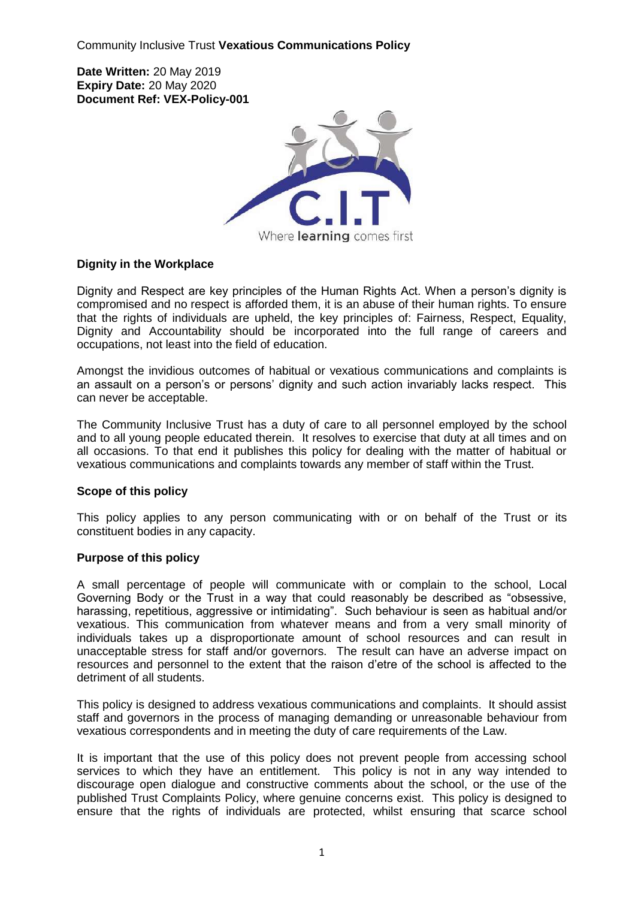Community Inclusive Trust **Vexatious Communications Policy**

**Date Written:** 20 May 2019 **Expiry Date:** 20 May 2020 **Document Ref: VEX-Policy-001**



# **Dignity in the Workplace**

Dignity and Respect are key principles of the Human Rights Act. When a person's dignity is compromised and no respect is afforded them, it is an abuse of their human rights. To ensure that the rights of individuals are upheld, the key principles of: Fairness, Respect, Equality, Dignity and Accountability should be incorporated into the full range of careers and occupations, not least into the field of education.

Amongst the invidious outcomes of habitual or vexatious communications and complaints is an assault on a person's or persons' dignity and such action invariably lacks respect. This can never be acceptable.

The Community Inclusive Trust has a duty of care to all personnel employed by the school and to all young people educated therein. It resolves to exercise that duty at all times and on all occasions. To that end it publishes this policy for dealing with the matter of habitual or vexatious communications and complaints towards any member of staff within the Trust.

# **Scope of this policy**

This policy applies to any person communicating with or on behalf of the Trust or its constituent bodies in any capacity.

# **Purpose of this policy**

A small percentage of people will communicate with or complain to the school, Local Governing Body or the Trust in a way that could reasonably be described as "obsessive, harassing, repetitious, aggressive or intimidating". Such behaviour is seen as habitual and/or vexatious. This communication from whatever means and from a very small minority of individuals takes up a disproportionate amount of school resources and can result in unacceptable stress for staff and/or governors. The result can have an adverse impact on resources and personnel to the extent that the raison d'etre of the school is affected to the detriment of all students.

This policy is designed to address vexatious communications and complaints. It should assist staff and governors in the process of managing demanding or unreasonable behaviour from vexatious correspondents and in meeting the duty of care requirements of the Law.

It is important that the use of this policy does not prevent people from accessing school services to which they have an entitlement. This policy is not in any way intended to discourage open dialogue and constructive comments about the school, or the use of the published Trust Complaints Policy, where genuine concerns exist. This policy is designed to ensure that the rights of individuals are protected, whilst ensuring that scarce school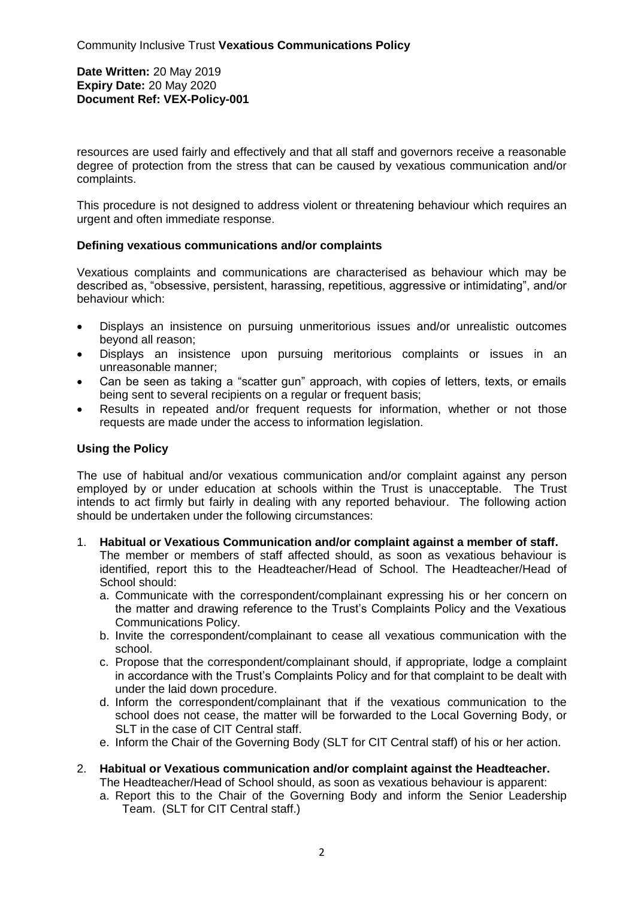### **Date Written:** 20 May 2019 **Expiry Date:** 20 May 2020 **Document Ref: VEX-Policy-001**

resources are used fairly and effectively and that all staff and governors receive a reasonable degree of protection from the stress that can be caused by vexatious communication and/or complaints.

This procedure is not designed to address violent or threatening behaviour which requires an urgent and often immediate response.

# **Defining vexatious communications and/or complaints**

Vexatious complaints and communications are characterised as behaviour which may be described as, "obsessive, persistent, harassing, repetitious, aggressive or intimidating", and/or behaviour which:

- Displays an insistence on pursuing unmeritorious issues and/or unrealistic outcomes beyond all reason;
- Displays an insistence upon pursuing meritorious complaints or issues in an unreasonable manner;
- Can be seen as taking a "scatter gun" approach, with copies of letters, texts, or emails being sent to several recipients on a regular or frequent basis;
- Results in repeated and/or frequent requests for information, whether or not those requests are made under the access to information legislation.

# **Using the Policy**

The use of habitual and/or vexatious communication and/or complaint against any person employed by or under education at schools within the Trust is unacceptable. The Trust intends to act firmly but fairly in dealing with any reported behaviour. The following action should be undertaken under the following circumstances:

- 1. **Habitual or Vexatious Communication and/or complaint against a member of staff.** The member or members of staff affected should, as soon as vexatious behaviour is identified, report this to the Headteacher/Head of School. The Headteacher/Head of School should:
	- a. Communicate with the correspondent/complainant expressing his or her concern on the matter and drawing reference to the Trust's Complaints Policy and the Vexatious Communications Policy.
	- b. Invite the correspondent/complainant to cease all vexatious communication with the school.
	- c. Propose that the correspondent/complainant should, if appropriate, lodge a complaint in accordance with the Trust's Complaints Policy and for that complaint to be dealt with under the laid down procedure.
	- d. Inform the correspondent/complainant that if the vexatious communication to the school does not cease, the matter will be forwarded to the Local Governing Body, or SLT in the case of CIT Central staff.
	- e. Inform the Chair of the Governing Body (SLT for CIT Central staff) of his or her action.
- 2. **Habitual or Vexatious communication and/or complaint against the Headteacher.** The Headteacher/Head of School should, as soon as vexatious behaviour is apparent:
	- a. Report this to the Chair of the Governing Body and inform the Senior Leadership Team. (SLT for CIT Central staff.)